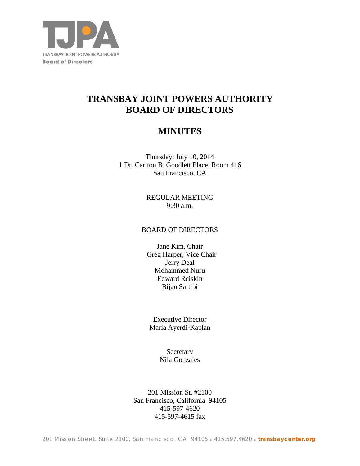

# **TRANSBAY JOINT POWERS AUTHORITY BOARD OF DIRECTORS**

# **MINUTES**

Thursday, July 10, 2014 1 Dr. Carlton B. Goodlett Place, Room 416 San Francisco, CA

> REGULAR MEETING 9:30 a.m.

# BOARD OF DIRECTORS

Jane Kim, Chair Greg Harper, Vice Chair Jerry Deal Mohammed Nuru Edward Reiskin Bijan Sartipi

Executive Director Maria Ayerdi-Kaplan

> **Secretary** Nila Gonzales

201 Mission St. #2100 San Francisco, California 94105 415-597-4620 415-597-4615 fax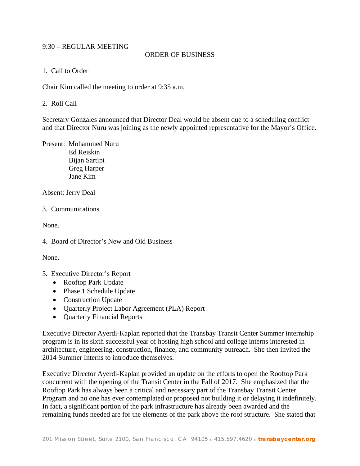# 9:30 – REGULAR MEETING

# ORDER OF BUSINESS

#### 1. Call to Order

Chair Kim called the meeting to order at 9:35 a.m.

#### 2. Roll Call

Secretary Gonzales announced that Director Deal would be absent due to a scheduling conflict and that Director Nuru was joining as the newly appointed representative for the Mayor's Office.

Present: Mohammed Nuru Ed Reiskin Bijan Sartipi Greg Harper Jane Kim

Absent: Jerry Deal

3. Communications

None.

4. Board of Director's New and Old Business

None.

- 5. Executive Director's Report
	- Rooftop Park Update
	- Phase 1 Schedule Update
	- Construction Update
	- Quarterly Project Labor Agreement (PLA) Report
	- Quarterly Financial Reports

Executive Director Ayerdi-Kaplan reported that the Transbay Transit Center Summer internship program is in its sixth successful year of hosting high school and college interns interested in architecture, engineering, construction, finance, and community outreach. She then invited the 2014 Summer Interns to introduce themselves.

Executive Director Ayerdi-Kaplan provided an update on the efforts to open the Rooftop Park concurrent with the opening of the Transit Center in the Fall of 2017. She emphasized that the Rooftop Park has always been a critical and necessary part of the Transbay Transit Center Program and no one has ever contemplated or proposed not building it or delaying it indefinitely. In fact, a significant portion of the park infrastructure has already been awarded and the remaining funds needed are for the elements of the park above the roof structure. She stated that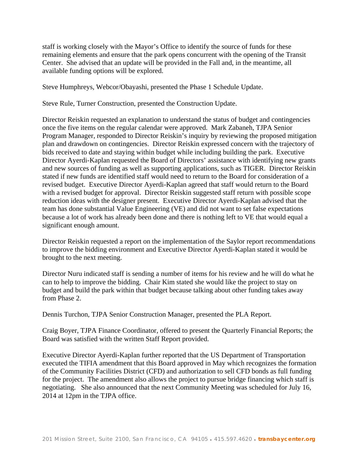staff is working closely with the Mayor's Office to identify the source of funds for these remaining elements and ensure that the park opens concurrent with the opening of the Transit Center. She advised that an update will be provided in the Fall and, in the meantime, all available funding options will be explored.

Steve Humphreys, Webcor/Obayashi, presented the Phase 1 Schedule Update.

Steve Rule, Turner Construction, presented the Construction Update.

Director Reiskin requested an explanation to understand the status of budget and contingencies once the five items on the regular calendar were approved. Mark Zabaneh, TJPA Senior Program Manager, responded to Director Reiskin's inquiry by reviewing the proposed mitigation plan and drawdown on contingencies. Director Reiskin expressed concern with the trajectory of bids received to date and staying within budget while including building the park. Executive Director Ayerdi-Kaplan requested the Board of Directors' assistance with identifying new grants and new sources of funding as well as supporting applications, such as TIGER. Director Reiskin stated if new funds are identified staff would need to return to the Board for consideration of a revised budget. Executive Director Ayerdi-Kaplan agreed that staff would return to the Board with a revised budget for approval. Director Reiskin suggested staff return with possible scope reduction ideas with the designer present. Executive Director Ayerdi-Kaplan advised that the team has done substantial Value Engineering (VE) and did not want to set false expectations because a lot of work has already been done and there is nothing left to VE that would equal a significant enough amount.

Director Reiskin requested a report on the implementation of the Saylor report recommendations to improve the bidding environment and Executive Director Ayerdi-Kaplan stated it would be brought to the next meeting.

Director Nuru indicated staff is sending a number of items for his review and he will do what he can to help to improve the bidding. Chair Kim stated she would like the project to stay on budget and build the park within that budget because talking about other funding takes away from Phase 2.

Dennis Turchon, TJPA Senior Construction Manager, presented the PLA Report.

Craig Boyer, TJPA Finance Coordinator, offered to present the Quarterly Financial Reports; the Board was satisfied with the written Staff Report provided.

Executive Director Ayerdi-Kaplan further reported that the US Department of Transportation executed the TIFIA amendment that this Board approved in May which recognizes the formation of the Community Facilities District (CFD) and authorization to sell CFD bonds as full funding for the project. The amendment also allows the project to pursue bridge financing which staff is negotiating. She also announced that the next Community Meeting was scheduled for July 16, 2014 at 12pm in the TJPA office.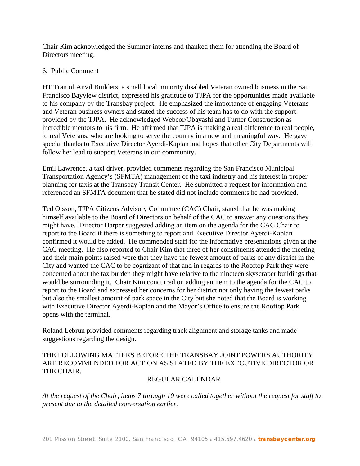Chair Kim acknowledged the Summer interns and thanked them for attending the Board of Directors meeting.

#### 6. Public Comment

HT Tran of Anvil Builders, a small local minority disabled Veteran owned business in the San Francisco Bayview district, expressed his gratitude to TJPA for the opportunities made available to his company by the Transbay project. He emphasized the importance of engaging Veterans and Veteran business owners and stated the success of his team has to do with the support provided by the TJPA. He acknowledged Webcor/Obayashi and Turner Construction as incredible mentors to his firm. He affirmed that TJPA is making a real difference to real people, to real Veterans, who are looking to serve the country in a new and meaningful way. He gave special thanks to Executive Director Ayerdi-Kaplan and hopes that other City Departments will follow her lead to support Veterans in our community.

Emil Lawrence, a taxi driver, provided comments regarding the San Francisco Municipal Transportation Agency's (SFMTA) management of the taxi industry and his interest in proper planning for taxis at the Transbay Transit Center. He submitted a request for information and referenced an SFMTA document that he stated did not include comments he had provided.

Ted Olsson, TJPA Citizens Advisory Committee (CAC) Chair, stated that he was making himself available to the Board of Directors on behalf of the CAC to answer any questions they might have. Director Harper suggested adding an item on the agenda for the CAC Chair to report to the Board if there is something to report and Executive Director Ayerdi-Kaplan confirmed it would be added. He commended staff for the informative presentations given at the CAC meeting. He also reported to Chair Kim that three of her constituents attended the meeting and their main points raised were that they have the fewest amount of parks of any district in the City and wanted the CAC to be cognizant of that and in regards to the Rooftop Park they were concerned about the tax burden they might have relative to the nineteen skyscraper buildings that would be surrounding it. Chair Kim concurred on adding an item to the agenda for the CAC to report to the Board and expressed her concerns for her district not only having the fewest parks but also the smallest amount of park space in the City but she noted that the Board is working with Executive Director Ayerdi-Kaplan and the Mayor's Office to ensure the Rooftop Park opens with the terminal.

Roland Lebrun provided comments regarding track alignment and storage tanks and made suggestions regarding the design.

# THE FOLLOWING MATTERS BEFORE THE TRANSBAY JOINT POWERS AUTHORITY ARE RECOMMENDED FOR ACTION AS STATED BY THE EXECUTIVE DIRECTOR OR THE CHAIR.

# REGULAR CALENDAR

*At the request of the Chair, items 7 through 10 were called together without the request for staff to present due to the detailed conversation earlier.*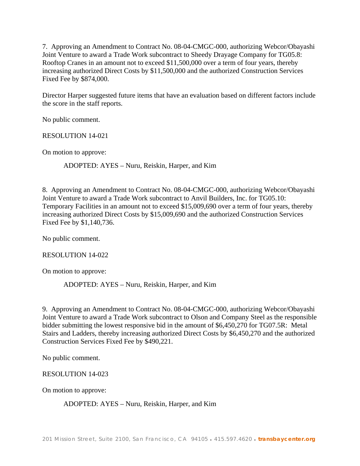7. Approving an Amendment to Contract No. 08-04-CMGC-000, authorizing Webcor/Obayashi Joint Venture to award a Trade Work subcontract to Sheedy Drayage Company for TG05.8: Rooftop Cranes in an amount not to exceed \$11,500,000 over a term of four years, thereby increasing authorized Direct Costs by \$11,500,000 and the authorized Construction Services Fixed Fee by \$874,000.

Director Harper suggested future items that have an evaluation based on different factors include the score in the staff reports.

No public comment.

RESOLUTION 14-021

On motion to approve:

ADOPTED: AYES – Nuru, Reiskin, Harper, and Kim

8. Approving an Amendment to Contract No. 08-04-CMGC-000, authorizing Webcor/Obayashi Joint Venture to award a Trade Work subcontract to Anvil Builders, Inc. for TG05.10: Temporary Facilities in an amount not to exceed \$15,009,690 over a term of four years, thereby increasing authorized Direct Costs by \$15,009,690 and the authorized Construction Services Fixed Fee by \$1,140,736.

No public comment.

RESOLUTION 14-022

On motion to approve:

ADOPTED: AYES – Nuru, Reiskin, Harper, and Kim

9. Approving an Amendment to Contract No. 08-04-CMGC-000, authorizing Webcor/Obayashi Joint Venture to award a Trade Work subcontract to Olson and Company Steel as the responsible bidder submitting the lowest responsive bid in the amount of \$6,450,270 for TG07.5R: Metal Stairs and Ladders, thereby increasing authorized Direct Costs by \$6,450,270 and the authorized Construction Services Fixed Fee by \$490,221.

No public comment.

RESOLUTION 14-023

On motion to approve:

ADOPTED: AYES – Nuru, Reiskin, Harper, and Kim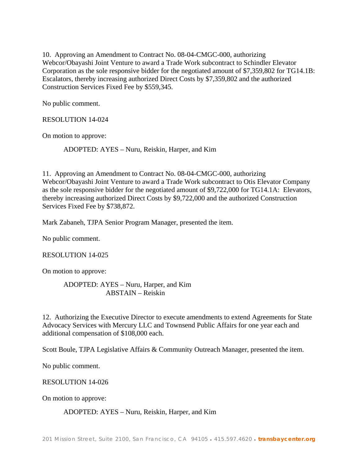10. Approving an Amendment to Contract No. 08-04-CMGC-000, authorizing Webcor/Obayashi Joint Venture to award a Trade Work subcontract to Schindler Elevator Corporation as the sole responsive bidder for the negotiated amount of \$7,359,802 for TG14.1B: Escalators, thereby increasing authorized Direct Costs by \$7,359,802 and the authorized Construction Services Fixed Fee by \$559,345.

No public comment.

RESOLUTION 14-024

On motion to approve:

ADOPTED: AYES – Nuru, Reiskin, Harper, and Kim

11. Approving an Amendment to Contract No. 08-04-CMGC-000, authorizing Webcor/Obayashi Joint Venture to award a Trade Work subcontract to Otis Elevator Company as the sole responsive bidder for the negotiated amount of \$9,722,000 for TG14.1A: Elevators, thereby increasing authorized Direct Costs by \$9,722,000 and the authorized Construction Services Fixed Fee by \$738,872.

Mark Zabaneh, TJPA Senior Program Manager, presented the item.

No public comment.

RESOLUTION 14-025

On motion to approve:

ADOPTED: AYES – Nuru, Harper, and Kim ABSTAIN – Reiskin

12. Authorizing the Executive Director to execute amendments to extend Agreements for State Advocacy Services with Mercury LLC and Townsend Public Affairs for one year each and additional compensation of \$108,000 each.

Scott Boule, TJPA Legislative Affairs & Community Outreach Manager, presented the item.

No public comment.

RESOLUTION 14-026

On motion to approve:

#### ADOPTED: AYES – Nuru, Reiskin, Harper, and Kim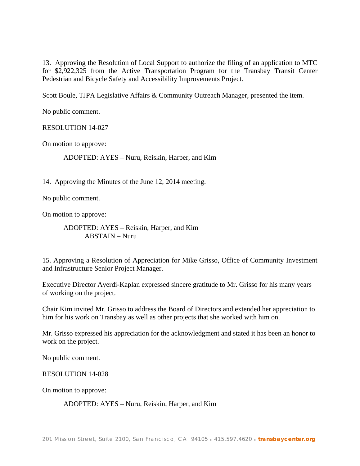13. Approving the Resolution of Local Support to authorize the filing of an application to MTC for \$2,922,325 from the Active Transportation Program for the Transbay Transit Center Pedestrian and Bicycle Safety and Accessibility Improvements Project.

Scott Boule, TJPA Legislative Affairs & Community Outreach Manager, presented the item.

No public comment.

RESOLUTION 14-027

On motion to approve:

ADOPTED: AYES – Nuru, Reiskin, Harper, and Kim

14. Approving the Minutes of the June 12, 2014 meeting.

No public comment.

On motion to approve:

ADOPTED: AYES – Reiskin, Harper, and Kim ABSTAIN – Nuru

15. Approving a Resolution of Appreciation for Mike Grisso, Office of Community Investment and Infrastructure Senior Project Manager.

Executive Director Ayerdi-Kaplan expressed sincere gratitude to Mr. Grisso for his many years of working on the project.

Chair Kim invited Mr. Grisso to address the Board of Directors and extended her appreciation to him for his work on Transbay as well as other projects that she worked with him on.

Mr. Grisso expressed his appreciation for the acknowledgment and stated it has been an honor to work on the project.

No public comment.

RESOLUTION 14-028

On motion to approve:

ADOPTED: AYES – Nuru, Reiskin, Harper, and Kim